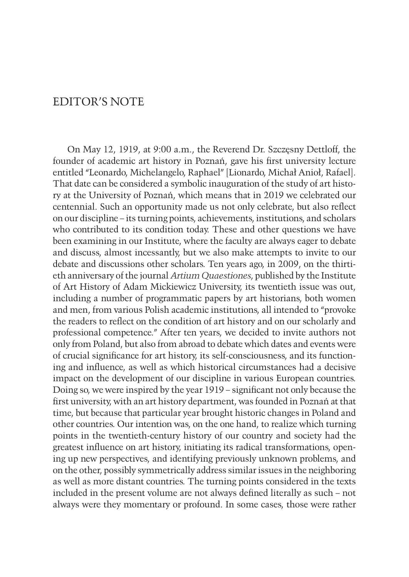## EDITOR'S NOTE

On May 12, 1919, at 9:00 a.m., the Reverend Dr. Szczęsny Dettloff, the founder of academic art history in Poznań, gave his first university lecture entitled "Leonardo, Michelangelo, Raphael" [Lionardo, Michał Anioł, Rafael]. That date can be considered a symbolic inauguration of the study of art history at the University of Poznań, which means that in 2019 we celebrated our centennial. Such an opportunity made us not only celebrate, but also reflect on our discipline – its turning points, achievements, institutions, and scholars who contributed to its condition today. These and other questions we have been examining in our Institute, where the faculty are always eager to debate and discuss, almost incessantly, but we also make attempts to invite to our debate and discussions other scholars. Ten years ago, in 2009, on the thirtieth anniversary of the journal *Artium Quaestiones*, published by the Institute of Art History of Adam Mickiewicz University, its twentieth issue was out, including a number of programmatic papers by art historians, both women and men, from various Polish academic institutions, all intended to "provoke the readers to reflect on the condition of art history and on our scholarly and professional competence." After ten years, we decided to invite authors not only from Poland, but also from abroad to debate which dates and events were of crucial significance for art history, its self-consciousness, and its functioning and influence, as well as which historical circumstances had a decisive impact on the development of our discipline in various European countries. Doing so, we were inspired by the year 1919 – significant not only because the first university, with an art history department, was founded in Poznań at that time, but because that particular year brought historic changes in Poland and other countries. Our intention was, on the one hand, to realize which turning points in the twentieth-century history of our country and society had the greatest influence on art history, initiating its radical transformations, opening up new perspectives, and identifying previously unknown problems, and on the other, possibly symmetrically address similar issues in the neighboring as well as more distant countries. The turning points considered in the texts included in the present volume are not always defined literally as such – not always were they momentary or profound. In some cases, those were rather